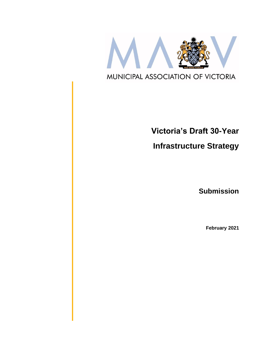

# **Victoria's Draft 30-Year**

**Infrastructure Strategy**

**Submission**

**February 2021**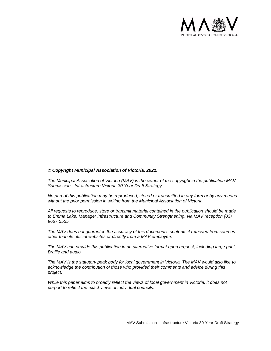

#### *© Copyright Municipal Association of Victoria, 2021.*

*The Municipal Association of Victoria (MAV) is the owner of the copyright in the publication MAV Submission - Infrastructure Victoria 30 Year Draft Strategy.* 

*No part of this publication may be reproduced, stored or transmitted in any form or by any means without the prior permission in writing from the Municipal Association of Victoria.* 

*All requests to reproduce, store or transmit material contained in the publication should be made to Emma Lake, Manager Infrastructure and Community Strengthening, via MAV reception (03) 9667 5555.*

*The MAV does not guarantee the accuracy of this document's contents if retrieved from sources other than its official websites or directly from a MAV employee.*

*The MAV can provide this publication in an alternative format upon request, including large print, Braille and audio.* 

*The MAV is the statutory peak body for local government in Victoria. The MAV would also like to acknowledge the contribution of those who provided their comments and advice during this project.* 

*While this paper aims to broadly reflect the views of local government in Victoria, it does not purport to reflect the exact views of individual councils.*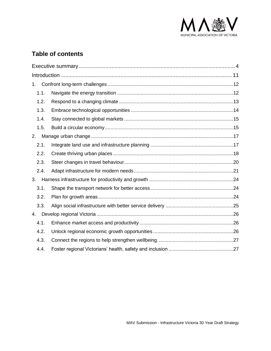

# **Table of contents**

| 1.   |  |  |
|------|--|--|
| 1.1. |  |  |
| 1.2. |  |  |
| 1.3. |  |  |
| 1.4. |  |  |
| 1.5. |  |  |
| 2.   |  |  |
| 2.1. |  |  |
| 2.2. |  |  |
| 2.3. |  |  |
| 2.4. |  |  |
| 3.   |  |  |
| 3.1. |  |  |
| 3.2. |  |  |
| 3.3. |  |  |
| 4.   |  |  |
| 4.1. |  |  |
| 4.2. |  |  |
| 4.3. |  |  |
| 4.4. |  |  |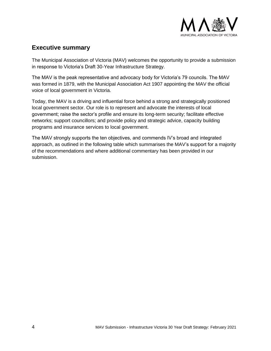

# <span id="page-3-0"></span>**Executive summary**

The Municipal Association of Victoria (MAV) welcomes the opportunity to provide a submission in response to Victoria's Draft 30-Year Infrastructure Strategy.

The MAV is the peak representative and advocacy body for Victoria's 79 councils. The MAV was formed in 1879, with the Municipal Association Act 1907 appointing the MAV the official voice of local government in Victoria.

Today, the MAV is a driving and influential force behind a strong and strategically positioned local government sector. Our role is to represent and advocate the interests of local government; raise the sector's profile and ensure its long-term security; facilitate effective networks; support councillors; and provide policy and strategic advice, capacity building programs and insurance services to local government.

The MAV strongly supports the ten objectives, and commends IV's broad and integrated approach, as outlined in the following table which summarises the MAV's support for a majority of the recommendations and where additional commentary has been provided in our submission.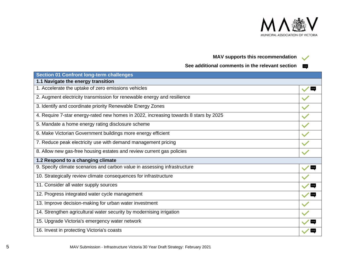

# **MAV supports this recommendation**

**See additional comments in the relevant section**

| <b>Section 01 Confront long-term challenges</b>                                      |    |
|--------------------------------------------------------------------------------------|----|
| 1.1 Navigate the energy transition                                                   |    |
| 1. Accelerate the uptake of zero emissions vehicles                                  |    |
| 2. Augment electricity transmission for renewable energy and resilience              |    |
| 3. Identify and coordinate priority Renewable Energy Zones                           |    |
| 4. Require 7-star energy-rated new homes in 2022, increasing towards 8 stars by 2025 |    |
| 5. Mandate a home energy rating disclosure scheme                                    |    |
| 6. Make Victorian Government buildings more energy efficient                         |    |
| 7. Reduce peak electricity use with demand management pricing                        |    |
| 8. Allow new gas-free housing estates and review current gas policies                |    |
| 1.2 Respond to a changing climate                                                    |    |
| 9. Specify climate scenarios and carbon value in assessing infrastructure            |    |
| 10. Strategically review climate consequences for infrastructure                     |    |
| 11. Consider all water supply sources                                                |    |
| 12. Progress integrated water cycle management                                       | ∣… |
| 13. Improve decision-making for urban water investment                               |    |
| 14. Strengthen agricultural water security by modernising irrigation                 |    |
| 15. Upgrade Victoria's emergency water network                                       |    |
| 16. Invest in protecting Victoria's coasts                                           |    |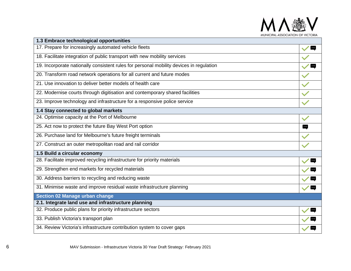

| 1.3 Embrace technological opportunities                                                 |                          |
|-----------------------------------------------------------------------------------------|--------------------------|
| 17. Prepare for increasingly automated vehicle fleets                                   | <u>l </u>                |
| 18. Facilitate integration of public transport with new mobility services               |                          |
| 19. Incorporate nationally consistent rules for personal mobility devices in regulation | $\cdots$                 |
| 20. Transform road network operations for all current and future modes                  |                          |
| 21. Use innovation to deliver better models of health care                              |                          |
| 22. Modernise courts through digitisation and contemporary shared facilities            |                          |
| 23. Improve technology and infrastructure for a responsive police service               |                          |
| 1.4 Stay connected to global markets                                                    |                          |
| 24. Optimise capacity at the Port of Melbourne                                          | $\overline{\phantom{a}}$ |
| 25. Act now to protect the future Bay West Port option                                  | $\blacksquare$           |
| 26. Purchase land for Melbourne's future freight terminals                              |                          |
| 27. Construct an outer metropolitan road and rail corridor                              |                          |
| 1.5 Build a circular economy                                                            |                          |
| 28. Facilitate improved recycling infrastructure for priority materials                 |                          |
| 29. Strengthen end markets for recycled materials                                       |                          |
| 30. Address barriers to recycling and reducing waste                                    | $\blacksquare$           |
| 31. Minimise waste and improve residual waste infrastructure planning                   | $\blacksquare$           |
| <b>Section 02 Manage urban change</b>                                                   |                          |
| 2.1. Integrate land use and infrastructure planning                                     |                          |
| 32. Produce public plans for priority infrastructure sectors                            | $\blacksquare$           |
| 33. Publish Victoria's transport plan                                                   |                          |
| 34. Review Victoria's infrastructure contribution system to cover gaps                  |                          |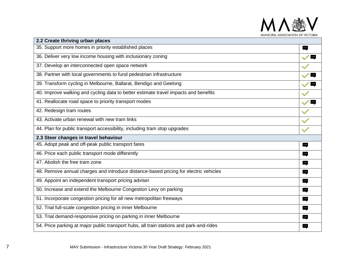

| 2.2 Create thriving urban places                                                        |                          |
|-----------------------------------------------------------------------------------------|--------------------------|
| 35. Support more homes in priority established places                                   | 뻑                        |
| 36. Deliver very low income housing with inclusionary zoning                            | $\overline{\mathbf{u}}$  |
| 37. Develop an interconnected open space network                                        |                          |
| 38. Partner with local governments to fund pedestrian infrastructure                    |                          |
| 39. Transform cycling in Melbourne, Ballarat, Bendigo and Geelong                       | $\blacksquare$           |
| 40. Improve walking and cycling data to better estimate travel impacts and benefits     |                          |
| 41. Reallocate road space to priority transport modes                                   | $\checkmark$             |
| 42. Redesign tram routes                                                                |                          |
| 43. Activate urban renewal with new tram links                                          |                          |
| 44. Plan for public transport accessibility, including tram stop upgrades               |                          |
| 2.3 Steer changes in travel behaviour                                                   |                          |
| 45. Adopt peak and off-peak public transport fares                                      | $\blacksquare$           |
| 46. Price each public transport mode differently                                        | $\cdot$                  |
| 47. Abolish the free tram zone                                                          | $\blacksquare$           |
| 48. Remove annual charges and introduce distance-based pricing for electric vehicles    | $\cdot$                  |
| 49. Appoint an independent transport pricing adviser                                    | $\overline{\phantom{a}}$ |
| 50. Increase and extend the Melbourne Congestion Levy on parking                        | $\cdot$                  |
| 51. Incorporate congestion pricing for all new metropolitan freeways                    | $\blacksquare$           |
| 52. Trial full-scale congestion pricing in inner Melbourne                              | $\blacksquare$           |
| 53. Trial demand-responsive pricing on parking in inner Melbourne                       | $\cdot$                  |
| 54. Price parking at major public transport hubs, all train stations and park-and-rides | $\cdots$                 |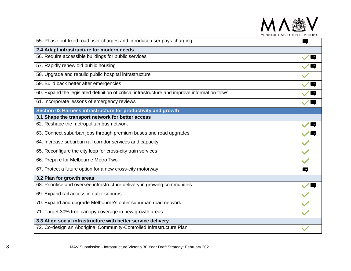

| 55. Phase out fixed road user charges and introduce user pays charging                        |                          |  |
|-----------------------------------------------------------------------------------------------|--------------------------|--|
| 2.4 Adapt infrastructure for modern needs                                                     |                          |  |
| 56. Require accessible buildings for public services                                          | <u>lay</u>               |  |
| 57. Rapidly renew old public housing                                                          | $\cdot \cdot \cdot$      |  |
| 58. Upgrade and rebuild public hospital infrastructure                                        |                          |  |
| 59. Build back better after emergencies                                                       |                          |  |
| 60. Expand the legislated definition of critical infrastructure and improve information flows |                          |  |
| 61. Incorporate lessons of emergency reviews                                                  | E                        |  |
| Section 03 Harness infrastructure for productivity and growth                                 |                          |  |
| 3.1 Shape the transport network for better access                                             |                          |  |
| 62. Reshape the metropolitan bus network                                                      | <b>Exp</b>               |  |
| 63. Connect suburban jobs through premium buses and road upgrades                             | $\sqrt{2}$               |  |
| 64. Increase suburban rail corridor services and capacity                                     |                          |  |
| 65. Reconfigure the city loop for cross-city train services                                   |                          |  |
| 66. Prepare for Melbourne Metro Two                                                           |                          |  |
| 67. Protect a future option for a new cross-city motorway                                     | $\blacksquare$           |  |
| 3.2 Plan for growth areas                                                                     |                          |  |
| 68. Prioritise and oversee infrastructure delivery in growing communities                     | $\overline{\phantom{a}}$ |  |
| 69. Expand rail access in outer suburbs                                                       |                          |  |
| 70. Expand and upgrade Melbourne's outer suburban road network                                |                          |  |
| 71. Target 30% tree canopy coverage in new growth areas                                       |                          |  |
| 3.3 Align social infrastructure with better service delivery                                  |                          |  |
| 72. Co-design an Aboriginal Community-Controlled Infrastructure Plan                          |                          |  |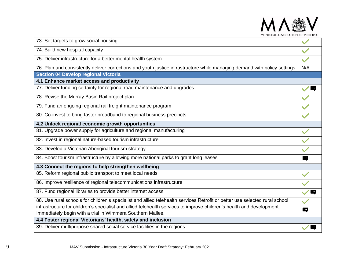| SSOCIATION OF VIC                                                                                                           |          |
|-----------------------------------------------------------------------------------------------------------------------------|----------|
| 73. Set targets to grow social housing                                                                                      |          |
| 74. Build new hospital capacity                                                                                             |          |
| 75. Deliver infrastructure for a better mental health system                                                                |          |
| 76. Plan and consistently deliver corrections and youth justice infrastructure while managing demand with policy settings   | N/A      |
| <b>Section 04 Develop regional Victoria</b>                                                                                 |          |
| 4.1 Enhance market access and productivity                                                                                  |          |
| 77. Deliver funding certainty for regional road maintenance and upgrades                                                    |          |
| 78. Revise the Murray Basin Rail project plan                                                                               |          |
| 79. Fund an ongoing regional rail freight maintenance program                                                               |          |
| 80. Co-invest to bring faster broadband to regional business precincts                                                      |          |
| 4.2 Unlock regional economic growth opportunities                                                                           |          |
| 81. Upgrade power supply for agriculture and regional manufacturing                                                         |          |
| 82. Invest in regional nature-based tourism infrastructure                                                                  |          |
| 83. Develop a Victorian Aboriginal tourism strategy                                                                         |          |
| 84. Boost tourism infrastructure by allowing more national parks to grant long leases                                       | $\cdots$ |
| 4.3 Connect the regions to help strengthen wellbeing                                                                        |          |
| 85. Reform regional public transport to meet local needs                                                                    |          |
| 86. Improve resilience of regional telecommunications infrastructure                                                        |          |
| 87. Fund regional libraries to provide better internet access                                                               |          |
| 88. Use rural schools for children's specialist and allied telehealth services Retrofit or better use selected rural school |          |
| infrastructure for children's specialist and allied telehealth services to improve children's health and development.       |          |
| Immediately begin with a trial in Wimmera Southern Mallee.                                                                  |          |
| 4.4 Foster regional Victorians' health, safety and inclusion                                                                |          |
| 89. Deliver multipurpose shared social service facilities in the regions                                                    |          |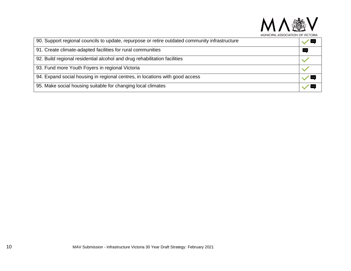

| 90. Support regional councils to update, repurpose or retire outdated community infrastructure |        |
|------------------------------------------------------------------------------------------------|--------|
| 91. Create climate-adapted facilities for rural communities                                    | $\sim$ |
| 92. Build regional residential alcohol and drug rehabilitation facilities                      |        |
| 93. Fund more Youth Foyers in regional Victoria                                                |        |
| 94. Expand social housing in regional centres, in locations with good access                   |        |
| 95. Make social housing suitable for changing local climates                                   |        |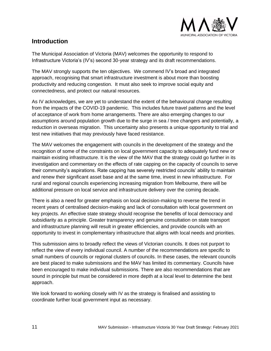

# <span id="page-10-0"></span>**Introduction**

The Municipal Association of Victoria (MAV) welcomes the opportunity to respond to Infrastructure Victoria's (IV's) second 30-year strategy and its draft recommendations.

The MAV strongly supports the ten objectives. We commend IV's broad and integrated approach, recognising that smart infrastructure investment is about more than boosting productivity and reducing congestion. It must also seek to improve social equity and connectedness, and protect our natural resources.

As IV acknowledges, we are yet to understand the extent of the behavioural change resulting from the impacts of the COVID-19 pandemic. This includes future travel patterns and the level of acceptance of work from home arrangements. There are also emerging changes to our assumptions around population growth due to the surge in sea / tree changers and potentially, a reduction in overseas migration. This uncertainty also presents a unique opportunity to trial and test new initiatives that may previously have faced resistance.

The MAV welcomes the engagement with councils in the development of the strategy and the recognition of some of the constraints on local government capacity to adequately fund new or maintain existing infrastructure. It is the view of the MAV that the strategy could go further in its investigation and commentary on the effects of rate capping on the capacity of councils to serve their community's aspirations. Rate capping has severely restricted councils' ability to maintain and renew their significant asset base and at the same time, invest in new infrastructure. For rural and regional councils experiencing increasing migration from Melbourne, there will be additional pressure on local service and infrastructure delivery over the coming decade.

There is also a need for greater emphasis on local decision-making to reverse the trend in recent years of centralised decision-making and lack of consultation with local government on key projects. An effective state strategy should recognise the benefits of local democracy and subsidiarity as a principle. Greater transparency and genuine consultation on state transport and infrastructure planning will result in greater efficiencies, and provide councils with an opportunity to invest in complementary infrastructure that aligns with local needs and priorities.

This submission aims to broadly reflect the views of Victorian councils. It does not purport to reflect the view of every individual council. A number of the recommendations are specific to small numbers of councils or regional clusters of councils. In these cases, the relevant councils are best placed to make submissions and the MAV has limited its commentary. Councils have been encouraged to make individual submissions. There are also recommendations that are sound in principle but must be considered in more depth at a local level to determine the best approach.

We look forward to working closely with IV as the strategy is finalised and assisting to coordinate further local government input as necessary.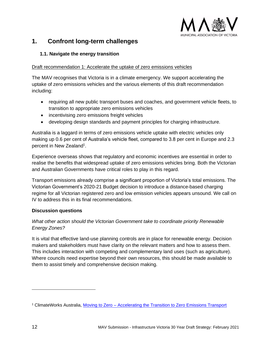

# <span id="page-11-0"></span>**1. Confront long-term challenges**

## <span id="page-11-1"></span>**1.1. Navigate the energy transition**

#### Draft recommendation 1: Accelerate the uptake of zero emissions vehicles

The MAV recognises that Victoria is in a climate emergency. We support accelerating the uptake of zero emissions vehicles and the various elements of this draft recommendation including:

- requiring all new public transport buses and coaches, and government vehicle fleets, to transition to appropriate zero emissions vehicles
- incentivising zero emissions freight vehicles
- developing design standards and payment principles for charging infrastructure.

Australia is a laggard in terms of zero emissions vehicle uptake with electric vehicles only making up 0.6 per cent of Australia's vehicle fleet, compared to 3.8 per cent in Europe and 2.3 percent in New Zealand<sup>1</sup>.

Experience overseas shows that regulatory and economic incentives are essential in order to realise the benefits that widespread uptake of zero emissions vehicles bring. Both the Victorian and Australian Governments have critical roles to play in this regard.

Transport emissions already comprise a significant proportion of Victoria's total emissions. The Victorian Government's 2020-21 Budget decision to introduce a distance-based charging regime for all Victorian registered zero and low emission vehicles appears unsound. We call on IV to address this in its final recommendations.

# **Discussion questions**

# *What other action should the Victorian Government take to coordinate priority Renewable Energy Zones?*

It is vital that effective land-use planning controls are in place for renewable energy. Decision makers and stakeholders must have clarity on the relevant matters and how to assess them. This includes interaction with competing and complementary land uses (such as agriculture). Where councils need expertise beyond their own resources, this should be made available to them to assist timely and comprehensive decision making.

<sup>1</sup> ClimateWorks Australia, Moving to Zero – [Accelerating the Transition to Zero Emissions Transport](https://www.climateworksaustralia.org/wp-content/uploads/2020/06/TRAN-0520-000071-TRANSPORT-ISSUES-PAPER-V5.pdf)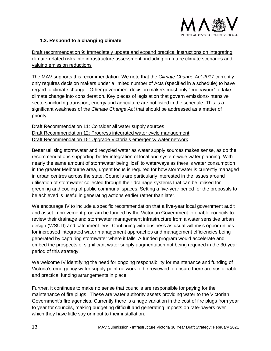

# <span id="page-12-0"></span>**1.2. Respond to a changing climate**

Draft recommendation 9: Immediately update and expand practical instructions on integrating climate-related risks into infrastructure assessment, including on future climate scenarios and valuing emission reductions

The MAV supports this recommendation. We note that the *Climate Change Act 2017* currently only requires decision makers under a limited number of Acts (specified in a schedule) to have regard to climate change. Other government decision makers must only "endeavour" to take climate change into consideration. Key pieces of legislation that govern emissions-intensive sectors including transport, energy and agriculture are not listed in the schedule. This is a significant weakness of the *Climate Change Act* that should be addressed as a matter of priority.

Draft Recommendation 11: Consider all water supply sources Draft Recommendation 12: Progress integrated water cycle management Draft Recommendation 15: Upgrade Victoria's emergency water network

Better utilising stormwater and recycled water as water supply sources makes sense, as do the recommendations supporting better integration of local and system-wide water planning. With nearly the same amount of stormwater being 'lost' to waterways as there is water consumption in the greater Melbourne area, urgent focus is required for how stormwater is currently managed in urban centres across the state. Councils are particularly interested in the issues around utilisation of stormwater collected through their drainage systems that can be utilised for greening and cooling of public communal spaces. Setting a five-year period for the proposals to be achieved is useful in generating actions earlier rather than later.

We encourage IV to include a specific recommendation that a five-year local government audit and asset improvement program be funded by the Victorian Government to enable councils to review their drainage and stormwater management infrastructure from a water sensitive urban design (WSUD) and catchment lens. Continuing with business as usual will miss opportunities for increased integrated water management approaches and management efficiencies being generated by capturing stormwater where it falls. A funded program would accelerate and embed the prospects of significant water supply augmentation not being required in the 30-year period of this strategy.

We welcome IV identifying the need for ongoing responsibility for maintenance and funding of Victoria's emergency water supply point network to be reviewed to ensure there are sustainable and practical funding arrangements in place.

Further, it continues to make no sense that councils are responsible for paying for the maintenance of fire plugs. These are water authority assets providing water to the Victorian Government's fire agencies. Currently there is a huge variation in the cost of fire plugs from year to year for councils, making budgeting difficult and generating imposts on rate-payers over which they have little say or input to their installation.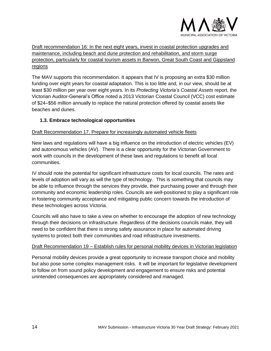

Draft recommendation 16: In the next eight years, invest in coastal protection upgrades and maintenance, including beach and dune protection and rehabilitation, and storm surge protection, particularly for coastal tourism assets in Barwon, Great South Coast and Gippsland regions

The MAV supports this recommendation. It appears that IV is proposing an extra \$30 million funding over eight years for coastal adaptation. This is too little and, in our view, should be at least \$30 million per year over eight years. In its *Protecting Victoria's Coastal Assets* report, the Victorian Auditor-General's Office noted a 2013 Victorian Coastal Council (VCC) cost estimate of \$24–\$56 million annually to replace the natural protection offered by coastal assets like beaches and dunes.

# <span id="page-13-0"></span>**1.3. Embrace technological opportunities**

## Draft Recommendation 17. Prepare for increasingly automated vehicle fleets

New laws and regulations will have a big influence on the introduction of electric vehicles (EV) and autonomous vehicles (AV). There is a clear opportunity for the Victorian Government to work with councils in the development of these laws and regulations to benefit all local communities.

IV should note the potential for significant infrastructure costs for local councils. The rates and levels of adoption will vary as will the type of technology. This is something that councils may be able to influence through the services they provide, their purchasing power and through their community and economic leadership roles. Councils are well-positioned to play a significant role in fostering community acceptance and mitigating public concern towards the introduction of these technologies across Victoria.

Councils will also have to take a view on whether to encourage the adoption of new technology through their decisions on infrastructure. Regardless of the decisions councils make, they will need to be confident that there is strong safety assurance in place for automated driving systems to protect both their communities and road infrastructure investments.

#### Draft Recommendation 19 – Establish rules for personal mobility devices in Victorian legislation

Personal mobility devices provide a great opportunity to increase transport choice and mobility but also pose some complex management risks. It will be important for legislative development to follow on from sound policy development and engagement to ensure risks and potential unintended consequences are appropriately considered and managed.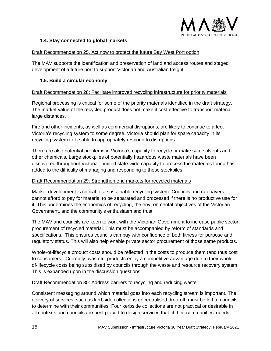

#### <span id="page-14-0"></span>**1.4. Stay connected to global markets**

#### Draft Recommendation 25. Act now to protect the future Bay West Port option

The MAV supports the identification and preservation of land and access routes and staged development of a future port to support Victorian and Australian freight.

#### <span id="page-14-1"></span>**1.5. Build a circular economy**

#### Draft Recommendation 28: Facilitate improved recycling infrastructure for priority materials

Regional processing is critical for some of the priority materials identified in the draft strategy. The market value of the recycled product does not make it cost effective to transport material large distances.

Fire and other incidents, as well as commercial disruptions, are likely to continue to affect Victoria's recycling system to some degree. Victoria should plan for spare capacity in its recycling system to be able to appropriately respond to disruptions.

There are also potential problems in Victoria's capacity to recycle or make safe solvents and other chemicals. Large stockpiles of potentially hazardous waste materials have been discovered throughout Victoria. Limited state-wide capacity to process the materials found has added to the difficulty of managing and responding to these stockpiles.

#### Draft Recommendation 29: Strengthen end markets for recycled materials

Market development is critical to a sustainable recycling system. Councils and ratepayers cannot afford to pay for material to be separated and processed if there is no productive use for it. This undermines the economics of recycling, the environmental objectives of the Victorian Government, and the community's enthusiasm and trust.

The MAV and councils are keen to work with the Victorian Government to increase public sector procurement of recycled material. This must be accompanied by reform of standards and specifications. This ensures councils can buy with confidence of both fitness for purpose and regulatory status. This will also help enable private sector procurement of those same products.

Whole-of-lifecycle product costs should be reflected in the costs to produce them (and thus cost to consumers). Currently, wasteful products enjoy a competitive advantage due to their wholeof-lifecycle costs being subsidised by councils through the waste and resource recovery system. This is expanded upon in the discussion questions.

#### Draft Recommendation 30: Address barriers to recycling and reducing waste

Consistent messaging around which material goes into each recycling stream is important. The delivery of services, such as kerbside collections or centralised drop-off, must be left to councils to determine with their communities. Four kerbside collections are not practical or desirable in all contexts and councils are best placed to design services that fit their communities' needs.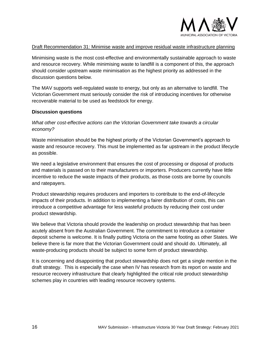

#### Draft Recommendation 31: Minimise waste and improve residual waste infrastructure planning

Minimising waste is the most cost-effective and environmentally sustainable approach to waste and resource recovery. While minimising waste to landfill is a component of this, the approach should consider upstream waste minimisation as the highest priority as addressed in the discussion questions below.

The MAV supports well-regulated waste to energy, but only as an alternative to landfill. The Victorian Government must seriously consider the risk of introducing incentives for otherwise recoverable material to be used as feedstock for energy.

#### **Discussion questions**

*What other cost-effective actions can the Victorian Government take towards a circular economy?*

Waste minimisation should be the highest priority of the Victorian Government's approach to waste and resource recovery. This must be implemented as far upstream in the product lifecycle as possible.

We need a legislative environment that ensures the cost of processing or disposal of products and materials is passed on to their manufacturers or importers. Producers currently have little incentive to reduce the waste impacts of their products, as those costs are borne by councils and ratepayers.

Product stewardship requires producers and importers to contribute to the end-of-lifecycle impacts of their products. In addition to implementing a fairer distribution of costs, this can introduce a competitive advantage for less wasteful products by reducing their cost under product stewardship.

We believe that Victoria should provide the leadership on product stewardship that has been acutely absent from the Australian Government. The commitment to introduce a container deposit scheme is welcome. It is finally putting Victoria on the same footing as other States. We believe there is far more that the Victorian Government could and should do. Ultimately, all waste-producing products should be subject to some form of product stewardship.

It is concerning and disappointing that product stewardship does not get a single mention in the draft strategy. This is especially the case when IV has research from its report on waste and resource recovery infrastructure that clearly highlighted the critical role product stewardship schemes play in countries with leading resource recovery systems.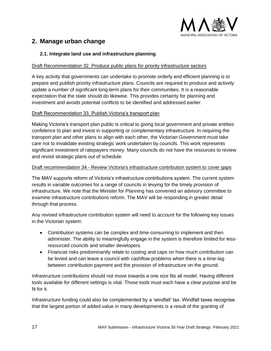

# <span id="page-16-0"></span>**2. Manage urban change**

## <span id="page-16-1"></span>**2.1. Integrate land use and infrastructure planning**

#### Draft Recommendation 32. Produce public plans for priority infrastructure sectors

A key activity that governments can undertake to promote orderly and efficient planning is to prepare and publish priority infrastructure plans. Councils are required to produce and actively update a number of significant long-term plans for their communities. It is a reasonable expectation that the state should do likewise. This provides certainty for planning and investment and avoids potential conflicts to be identified and addressed earlier.

#### Draft Recommendation 33. Publish Victoria's transport plan

Making Victoria's transport plan public is critical to giving local government and private entities confidence to plan and invest in supporting or complementary infrastructure. In requiring the transport plan and other plans to align with each other, the Victorian Government must take care not to invalidate existing strategic work undertaken by councils. This work represents significant investment of ratepayers money. Many councils do not have the resources to review and revisit strategic plans out of schedule.

#### Draft recommendation 34 - Review Victoria's infrastructure contribution system to cover gaps

The MAV supports reform of Victoria's infrastructure contributions system. The current system results in variable outcomes for a range of councils in levying for the timely provision of infrastructure. We note that the Minister for Planning has convened an advisory committee to examine infrastructure contributions reform. The MAV will be responding in greater detail through that process.

Any revised infrastructure contribution system will need to account for the following key issues in the Victorian system:

- Contribution systems can be complex and time-consuming to implement and then administer. The ability to meaningfully engage in the system is therefore limited for lessresourced councils and smaller developers.
- Financial risks predominantly relate to costing and caps on how much contribution can be levied and can leave a council with cashflow problems when there is a time-lag between contribution payment and the provision of infrastructure on the ground.

Infrastructure contributions should not move towards a one size fits all model. Having different tools available for different settings is vital. Those tools must each have a clear purpose and be fit for it.

Infrastructure funding could also be complemented by a 'windfall' tax. Windfall taxes recognise that the largest portion of added value in many developments is a result of the granting of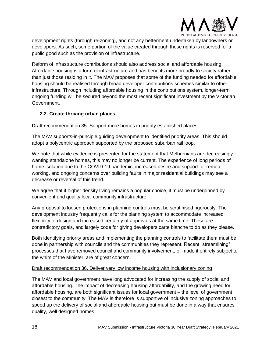

development rights (through re-zoning), and not any betterment undertaken by landowners or developers. As such, some portion of the value created through those rights is reserved for a public good such as the provision of infrastructure.

Reform of infrastructure contributions should also address social and affordable housing. Affordable housing is a form of infrastructure and has benefits more broadly to society rather than just those residing in it. The MAV proposes that some of the funding needed for affordable housing should be realised through broad developer contributions schemes similar to other infrastructure. Through including affordable housing in the contributions system, longer-term ongoing funding will be secured beyond the most recent significant investment by the Victorian Government.

## <span id="page-17-0"></span>**2.2. Create thriving urban places**

#### Draft recommendation 35. Support more homes in priority established places

The MAV supports-in-principle guiding development to identified priority areas. This should adopt a polycentric approach supported by the proposed suburban rail loop.

We note that while evidence is presented for the statement that Melburnians are decreasingly wanting standalone homes, this may no longer be current. The experience of long periods of home isolation due to the COVID-19 pandemic, increased desire and support for remote working, and ongoing concerns over building faults in major residential buildings may see a decrease or reversal of this trend.

We agree that if higher density living remains a popular choice, it must be underpinned by convenient and quality local community infrastructure.

Any proposal to loosen protections in planning controls must be scrutinised rigorously. The development industry frequently calls for the planning system to accommodate increased flexibility of design and increased certainty of approvals at the same time. These are contradictory goals, and largely code for giving developers carte blanche to do as they please.

Both identifying priority areas and implementing the planning controls to facilitate them must be done in partnership with councils and the communities they represent. Recent "streamlining" processes that have removed council and community involvement, or made it entirely subject to the whim of the Minister, are of great concern.

#### Draft recommendation 36. Deliver very low income housing with inclusionary zoning

The MAV and local government have long advocated for increasing the supply of social and affordable housing. The impact of decreasing housing affordability, and the growing need for affordable housing, are both significant issues for local government – the level of government closest to the community. The MAV is therefore is supportive of inclusive zoning approaches to speed up the delivery of social and affordable housing but must be done in a way that ensures quality, well designed homes.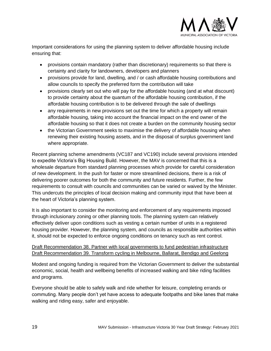

Important considerations for using the planning system to deliver affordable housing include ensuring that:

- provisions contain mandatory (rather than discretionary) requirements so that there is certainty and clarity for landowners, developers and planners
- provisions provide for land, dwelling, and / or cash affordable housing contributions and allow councils to specify the preferred form the contribution will take
- provisions clearly set out who will pay for the affordable housing (and at what discount) to provide certainty about the quantum of the affordable housing contribution, if the affordable housing contribution is to be delivered through the sale of dwellings
- any requirements in new provisions set out the time for which a property will remain affordable housing, taking into account the financial impact on the end owner of the affordable housing so that it does not create a burden on the community housing sector
- the Victorian Government seeks to maximise the delivery of affordable housing when renewing their existing housing assets, and in the disposal of surplus government land where appropriate.

Recent planning scheme amendments (VC187 and VC190) include several provisions intended to expedite Victoria's Big Housing Build. However, the MAV is concerned that this is a wholesale departure from standard planning processes which provide for careful consideration of new development. In the push for faster or more streamlined decisions, there is a risk of delivering poorer outcomes for both the community and future residents. Further, the few requirements to consult with councils and communities can be varied or waived by the Minister. This undercuts the principles of local decision making and community input that have been at the heart of Victoria's planning system.

It is also important to consider the monitoring and enforcement of any requirements imposed through inclusionary zoning or other planning tools. The planning system can relatively effectively deliver upon conditions such as vesting a certain number of units in a registered housing provider. However, the planning system, and councils as responsible authorities within it, should not be expected to enforce ongoing conditions on tenancy such as rent control.

# Draft Recommendation 38. Partner with local governments to fund pedestrian infrastructure Draft Recommendation 39. Transform cycling in Melbourne, Ballarat, Bendigo and Geelong

Modest and ongoing funding is required from the Victorian Government to deliver the substantial economic, social, health and wellbeing benefits of increased walking and bike riding facilities and programs.

Everyone should be able to safely walk and ride whether for leisure, completing errands or commuting. Many people don't yet have access to adequate footpaths and bike lanes that make walking and riding easy, safer and enjoyable.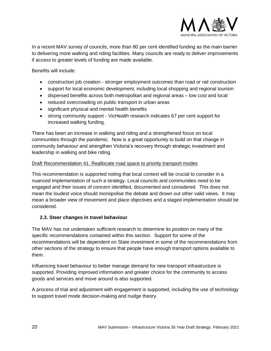

In a recent MAV survey of councils, more than 80 per cent identified funding as the main barrier to delivering more walking and riding facilities. Many councils are ready to deliver improvements if access to greater levels of funding are made available.

Benefits will include:

- construction job creation stronger employment outcomes than road or rail construction
- support for local economic development, including local shopping and regional tourism
- dispersed benefits across both metropolitan and regional areas low cost and local
- reduced overcrowding on public transport in urban areas
- significant physical and mental health benefits
- strong community support VicHealth research indicates 67 per cent support for increased walking funding.

There has been an increase in walking and riding and a strengthened focus on local communities through the pandemic. Now is a great opportunity to build on that change in community behaviour and strengthen Victoria's recovery through strategic investment and leadership in walking and bike riding.

#### Draft Recommendation 41. Reallocate road space to priority transport modes

This recommendation is supported noting that local context will be crucial to consider in a nuanced implementation of such a strategy. Local councils and communities need to be engaged and their issues of concern identified, documented and considered. This does not mean the loudest voice should monopolise the debate and drown out other valid views. It may mean a broader view of movement and place objectives and a staged implementation should be considered.

#### <span id="page-19-0"></span>**2.3. Steer changes in travel behaviour**

The MAV has not undertaken sufficient research to determine its position on many of the specific recommendations contained within this section. Support for some of the recommendations will be dependent on State investment in some of the recommendations from other sections of the strategy to ensure that people have enough transport options available to them.

Influencing travel behaviour to better manage demand for new transport infrastructure is supported. Providing improved information and greater choice for the community to access goods and services and move around is also supported.

A process of trial and adjustment with engagement is supported, including the use of technology to support travel mode decision-making and nudge theory.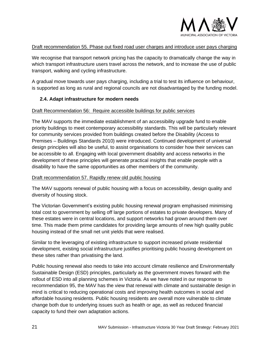

#### Draft recommendation 55. Phase out fixed road user charges and introduce user pays charging

We recognise that transport network pricing has the capacity to dramatically change the way in which transport infrastructure users travel across the network, and to increase the use of public transport, walking and cycling infrastructure.

A gradual move towards user pays charging, including a trial to test its influence on behaviour, is supported as long as rural and regional councils are not disadvantaged by the funding model.

#### <span id="page-20-0"></span>**2.4. Adapt infrastructure for modern needs**

#### Draft Recommendation 56: Require accessible buildings for public services

The MAV supports the immediate establishment of an accessibility upgrade fund to enable priority buildings to meet contemporary accessibility standards. This will be particularly relevant for community services provided from buildings created before the Disability (Access to Premises – Buildings Standards 2010) were introduced. Continued development of universal design principles will also be useful, to assist organisations to consider how their services can be accessible to all. Engaging with local government disability and access networks in the development of these principles will generate practical insights that enable people with a disability to have the same opportunities as other members of the community.

#### Draft recommendation 57. Rapidly renew old public housing

The MAV supports renewal of public housing with a focus on accessibility, design quality and diversity of housing stock.

The Victorian Government's existing public housing renewal program emphasised minimising total cost to government by selling off large portions of estates to private developers. Many of these estates were in central locations, and support networks had grown around them over time. This made them prime candidates for providing large amounts of new high quality public housing instead of the small net unit yields that were realised.

Similar to the leveraging of existing infrastructure to support increased private residential development, existing social infrastructure justifies prioritising public housing development on these sites rather than privatising the land.

Public housing renewal also needs to take into account climate resilience and Environmentally Sustainable Design (ESD) principles, particularly as the government moves forward with the rollout of ESD into all planning schemes in Victoria. As we have noted in our response to recommendation 95, the MAV has the view that renewal with climate and sustainable design in mind is critical to reducing operational costs and improving health outcomes in social and affordable housing residents. Public housing residents are overall more vulnerable to climate change both due to underlying issues such as health or age, as well as reduced financial capacity to fund their own adaptation actions.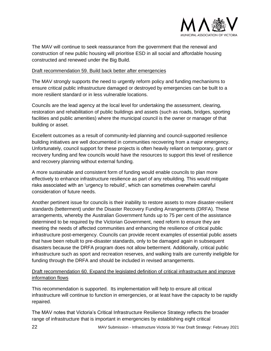

The MAV will continue to seek reassurance from the government that the renewal and construction of new public housing will prioritise ESD in all social and affordable housing constructed and renewed under the Big Build.

#### Draft recommendation 59. Build back better after emergencies

The MAV strongly supports the need to urgently reform policy and funding mechanisms to ensure critical public infrastructure damaged or destroyed by emergencies can be built to a more resilient standard or in less vulnerable locations.

Councils are the lead agency at the local level for undertaking the assessment, clearing, restoration and rehabilitation of public buildings and assets (such as roads, bridges, sporting facilities and public amenities) where the municipal council is the owner or manager of that building or asset.

Excellent outcomes as a result of community-led planning and council-supported resilience building initiatives are well documented in communities recovering from a major emergency. Unfortunately, council support for these projects is often heavily reliant on temporary, grant or recovery funding and few councils would have the resources to support this level of resilience and recovery planning without external funding.

A more sustainable and consistent form of funding would enable councils to plan more effectively to enhance infrastructure resilience as part of any rebuilding. This would mitigate risks associated with an 'urgency to rebuild', which can sometimes overwhelm careful consideration of future needs.

Another pertinent issue for councils is their inability to restore assets to more disaster-resilient standards (betterment) under the Disaster Recovery Funding Arrangements (DRFA). These arrangements, whereby the Australian Government funds up to 75 per cent of the assistance determined to be required by the Victorian Government, need reform to ensure they are meeting the needs of affected communities and enhancing the resilience of critical public infrastructure post-emergency. Councils can provide recent examples of essential public assets that have been rebuilt to pre-disaster standards, only to be damaged again in subsequent disasters because the DRFA program does not allow betterment. Additionally, critical public infrastructure such as sport and recreation reserves, and walking trails are currently ineligible for funding through the DRFA and should be included in revised arrangements.

## Draft recommendation 60. Expand the legislated definition of critical infrastructure and improve information flows

This recommendation is supported. Its implementation will help to ensure all critical infrastructure will continue to function in emergencies, or at least have the capacity to be rapidly repaired.

The MAV notes that Victoria's Critical Infrastructure Resilience Strategy reflects the broader range of infrastructure that is important in emergencies by establishing eight critical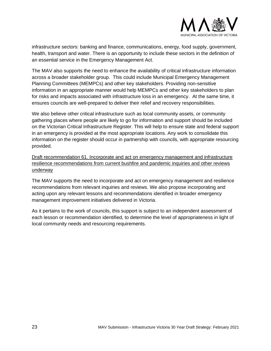

infrastructure sectors: banking and finance, communications, energy, food supply, government, health, transport and water. There is an opportunity to include these sectors in the definition of an essential service in the Emergency Management Act.

The MAV also supports the need to enhance the availability of critical infrastructure information across a broader stakeholder group. This could include Municipal Emergency Management Planning Committees (MEMPCs) and other key stakeholders. Providing non-sensitive information in an appropriate manner would help MEMPCs and other key stakeholders to plan for risks and impacts associated with infrastructure loss in an emergency. At the same time, it ensures councils are well-prepared to deliver their relief and recovery responsibilities.

We also believe other critical infrastructure such as local community assets, or community gathering places where people are likely to go for information and support should be included on the Victorian Critical Infrastructure Register. This will help to ensure state and federal support in an emergency is provided at the most appropriate locations. Any work to consolidate this information on the register should occur in partnership with councils, with appropriate resourcing provided.

Draft recommendation 61. Incorporate and act on emergency management and infrastructure resilience recommendations from current bushfire and pandemic inquiries and other reviews underway

The MAV supports the need to incorporate and act on emergency management and resilience recommendations from relevant inquiries and reviews. We also propose incorporating and acting upon any relevant lessons and recommendations identified in broader emergency management improvement initiatives delivered in Victoria.

As it pertains to the work of councils, this support is subject to an independent assessment of each lesson or recommendation identified, to determine the level of appropriateness in light of local community needs and resourcing requirements.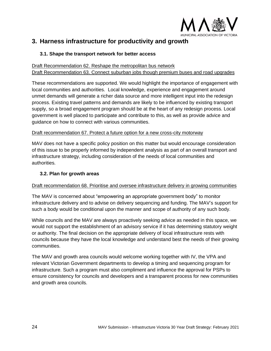

# <span id="page-23-0"></span>**3. Harness infrastructure for productivity and growth**

# <span id="page-23-1"></span>**3.1. Shape the transport network for better access**

#### Draft Recommendation 62. Reshape the metropolitan bus network Draft Recommendation 63. Connect suburban jobs though premium buses and road upgrades

These recommendations are supported. We would highlight the importance of engagement with local communities and authorities. Local knowledge, experience and engagement around unmet demands will generate a richer data source and more intelligent input into the redesign process. Existing travel patterns and demands are likely to be influenced by existing transport supply, so a broad engagement program should be at the heart of any redesign process. Local government is well placed to participate and contribute to this, as well as provide advice and guidance on how to connect with various communities.

## Draft recommendation 67. Protect a future option for a new cross-city motorway

MAV does not have a specific policy position on this matter but would encourage consideration of this issue to be properly informed by independent analysis as part of an overall transport and infrastructure strategy, including consideration of the needs of local communities and authorities.

# <span id="page-23-2"></span>**3.2. Plan for growth areas**

# Draft recommendation 68. Prioritise and oversee infrastructure delivery in growing communities

The MAV is concerned about "empowering an appropriate government body" to monitor infrastructure delivery and to advise on delivery sequencing and funding. The MAV's support for such a body would be conditional upon the manner and scope of authority of any such body.

While councils and the MAV are always proactively seeking advice as needed in this space, we would not support the establishment of an advisory service if it has determining statutory weight or authority. The final decision on the appropriate delivery of local infrastructure rests with councils because they have the local knowledge and understand best the needs of their growing communities.

The MAV and growth area councils would welcome working together with IV, the VPA and relevant Victorian Government departments to develop a timing and sequencing program for infrastructure. Such a program must also compliment and influence the approval for PSPs to ensure consistency for councils and developers and a transparent process for new communities and growth area councils.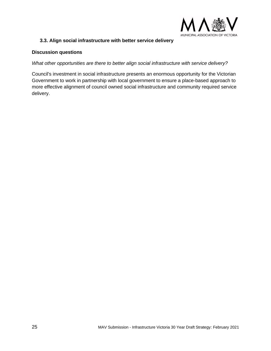

## <span id="page-24-0"></span>**3.3. Align social infrastructure with better service delivery**

#### **Discussion questions**

*What other opportunities are there to better align social infrastructure with service delivery?*

Council's investment in social infrastructure presents an enormous opportunity for the Victorian Government to work in partnership with local government to ensure a place-based approach to more effective alignment of council owned social infrastructure and community required service delivery.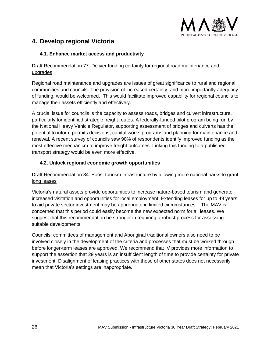

# <span id="page-25-0"></span>**4. Develop regional Victoria**

# <span id="page-25-1"></span>**4.1. Enhance market access and productivity**

# Draft Recommendation 77. Deliver funding certainty for regional road maintenance and upgrades

Regional road maintenance and upgrades are issues of great significance to rural and regional communities and councils. The provision of increased certainty, and more importantly adequacy of funding, would be welcomed. This would facilitate improved capability for regional councils to manage their assets efficiently and effectively.

A crucial issue for councils is the capacity to assess roads, bridges and culvert infrastructure, particularly for identified strategic freight routes. A federally-funded pilot program being run by the National Heavy Vehicle Regulator, supporting assessment of bridges and culverts has the potential to inform permits decisions, capital works programs and planning for maintenance and renewal. A recent survey of councils saw 90% of respondents identify improved funding as the most effective mechanicm to improve freight outcomes. Linking this funding to a published transport strategy would be even more effective.

# <span id="page-25-2"></span>**4.2. Unlock regional economic growth opportunities**

# Draft Recommendation 84: Boost tourism infrastructure by allowing more national parks to grant long leases

Victoria's natural assets provide opportunities to increase nature-based tourism and generate increased visitation and opportunities for local employment. Extending leases for up to 49 years to aid private sector investment may be appropriate in limited circumstances. The MAV is concerned that this period could easily become the new expected norm for all leases. We suggest that this recommendation be stronger in requiring a robust process for assessing suitable developments.

Councils, committees of management and Aboriginal traditional owners also need to be involved closely in the development of the criteria and processes that must be worked through before longer-term leases are approved. We recommend that IV provides more information to support the assertion that 29 years is an insufficient length of time to provide certainty for private investment. Disalignment of leasing practices with those of other states does not necessarily mean that Victoria's settings are inappropriate.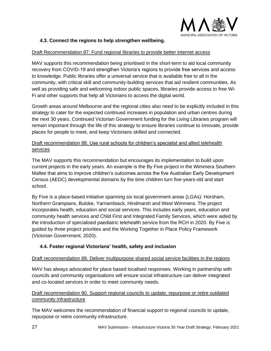

# <span id="page-26-0"></span>**4.3. Connect the regions to help strengthen wellbeing.**

#### Draft Recommendation 87: Fund regional libraries to provide better internet access

MAV supports this recommendation being prioritised in the short-term to aid local community recovery from COVID-19 and strengthen Victoria's regions to provide free services and access to knowledge. Public libraries offer a universal service that is available free to all in the community, with critical skill and community-building services that aid resilient communities*.* As well as providing safe and welcoming indoor public spaces, libraries provide access to free Wi-Fi and other supports that help all Victorians to access the digital world.

Growth areas around Melbourne and the regional cities also need to be explicitly included in this strategy to cater for the expected continued increases in population and urban centres during the next 30 years. Continued Victorian Government funding for the Living Libraries program will remain important through the life of this strategy to ensure libraries continue to innovate, provide places for people to meet, and keep Victorians skilled and connected.

# Draft recommendation 88. Use rural schools for children's specialist and allied telehealth services

The MAV supports this recommendation but encourages its implementation to build upon current projects in the early years. An example is the By Five project in the Wimmera Southern Mallee that aims to improve children's outcomes across the five Australian Early Development Census (AEDC) developmental domains by the time children turn five-years-old and start school.

By Five is a place-based initiative spanning six local government areas (LGAs): Horsham, Northern Grampians, Buloke, Yarriambiack, Hindmarsh and West Wimmera. The project incorporates health, education and social services. This includes early years, education and community health services and Child First and Integrated Family Services, which were aided by the introduction of specialised paediatric telehealth service from the RCH in 2020. By Five is guided by three project priorities and the Working Together in Place Policy Framework (Victorian Government, 2020).

#### <span id="page-26-1"></span>**4.4. Foster regional Victorians' health, safety and inclusion**

#### Draft recommendation 89. Deliver multipurpose shared social service facilities in the regions

MAV has always advocated for place based localised responses. Working in partnership with councils and community organisations will ensure social infrastructure can deliver integrated and co-located services in order to meet community needs.

## Draft recommendation 90. Support regional councils to update, repurpose or retire outdated community infrastructure

The MAV welcomes the recommendation of financial support to regional councils to update, repurpose or retire community infrastructure.